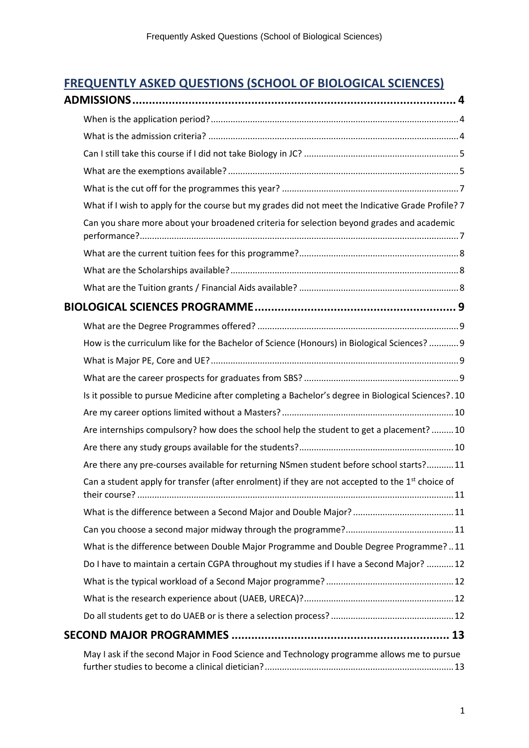## **FREQUENTLY ASKED QUESTIONS (SCHOOL OF BIOLOGICAL SCIENCES)**

| What if I wish to apply for the course but my grades did not meet the Indicative Grade Profile? 7            |
|--------------------------------------------------------------------------------------------------------------|
| Can you share more about your broadened criteria for selection beyond grades and academic                    |
|                                                                                                              |
|                                                                                                              |
|                                                                                                              |
|                                                                                                              |
|                                                                                                              |
| How is the curriculum like for the Bachelor of Science (Honours) in Biological Sciences?  9                  |
|                                                                                                              |
|                                                                                                              |
| Is it possible to pursue Medicine after completing a Bachelor's degree in Biological Sciences?.10            |
|                                                                                                              |
| Are internships compulsory? how does the school help the student to get a placement?  10                     |
|                                                                                                              |
| Are there any pre-courses available for returning NSmen student before school starts?11                      |
| Can a student apply for transfer (after enrolment) if they are not accepted to the 1 <sup>st</sup> choice of |
|                                                                                                              |
|                                                                                                              |
| What is the difference between Double Major Programme and Double Degree Programme?11                         |
| Do I have to maintain a certain CGPA throughout my studies if I have a Second Major?  12                     |
|                                                                                                              |
|                                                                                                              |
|                                                                                                              |
|                                                                                                              |
| May I ask if the second Major in Food Science and Technology programme allows me to pursue                   |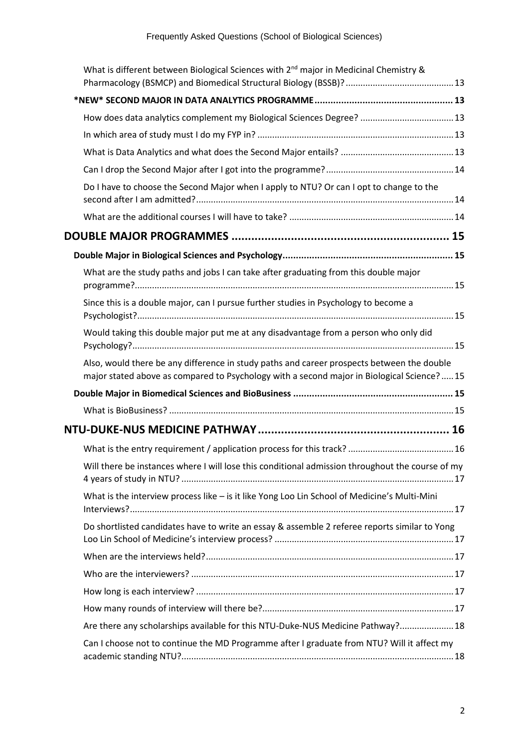| What is different between Biological Sciences with $2^{nd}$ major in Medicinal Chemistry &                                                                                                |  |
|-------------------------------------------------------------------------------------------------------------------------------------------------------------------------------------------|--|
|                                                                                                                                                                                           |  |
| How does data analytics complement my Biological Sciences Degree?  13                                                                                                                     |  |
|                                                                                                                                                                                           |  |
|                                                                                                                                                                                           |  |
|                                                                                                                                                                                           |  |
| Do I have to choose the Second Major when I apply to NTU? Or can I opt to change to the                                                                                                   |  |
|                                                                                                                                                                                           |  |
|                                                                                                                                                                                           |  |
|                                                                                                                                                                                           |  |
| What are the study paths and jobs I can take after graduating from this double major                                                                                                      |  |
| Since this is a double major, can I pursue further studies in Psychology to become a                                                                                                      |  |
| Would taking this double major put me at any disadvantage from a person who only did                                                                                                      |  |
| Also, would there be any difference in study paths and career prospects between the double<br>major stated above as compared to Psychology with a second major in Biological Science?  15 |  |
|                                                                                                                                                                                           |  |
|                                                                                                                                                                                           |  |
|                                                                                                                                                                                           |  |
|                                                                                                                                                                                           |  |
| Will there be instances where I will lose this conditional admission throughout the course of my                                                                                          |  |
| What is the interview process like - is it like Yong Loo Lin School of Medicine's Multi-Mini                                                                                              |  |
| Do shortlisted candidates have to write an essay & assemble 2 referee reports similar to Yong                                                                                             |  |
|                                                                                                                                                                                           |  |
|                                                                                                                                                                                           |  |
|                                                                                                                                                                                           |  |
|                                                                                                                                                                                           |  |
| Are there any scholarships available for this NTU-Duke-NUS Medicine Pathway? 18                                                                                                           |  |
| Can I choose not to continue the MD Programme after I graduate from NTU? Will it affect my                                                                                                |  |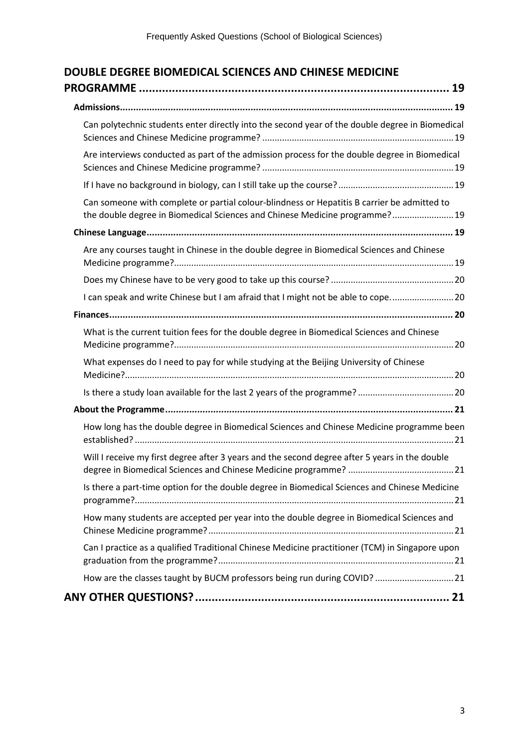| Can polytechnic students enter directly into the second year of the double degree in Biomedical                                                                            |  |
|----------------------------------------------------------------------------------------------------------------------------------------------------------------------------|--|
| Are interviews conducted as part of the admission process for the double degree in Biomedical                                                                              |  |
|                                                                                                                                                                            |  |
| Can someone with complete or partial colour-blindness or Hepatitis B carrier be admitted to<br>the double degree in Biomedical Sciences and Chinese Medicine programme? 19 |  |
|                                                                                                                                                                            |  |
| Are any courses taught in Chinese in the double degree in Biomedical Sciences and Chinese                                                                                  |  |
|                                                                                                                                                                            |  |
| I can speak and write Chinese but I am afraid that I might not be able to cope 20                                                                                          |  |
|                                                                                                                                                                            |  |
| What is the current tuition fees for the double degree in Biomedical Sciences and Chinese                                                                                  |  |
| What expenses do I need to pay for while studying at the Beijing University of Chinese                                                                                     |  |
|                                                                                                                                                                            |  |
|                                                                                                                                                                            |  |
| How long has the double degree in Biomedical Sciences and Chinese Medicine programme been                                                                                  |  |
| Will I receive my first degree after 3 years and the second degree after 5 years in the double                                                                             |  |
| Is there a part-time option for the double degree in Biomedical Sciences and Chinese Medicine                                                                              |  |
| How many students are accepted per year into the double degree in Biomedical Sciences and                                                                                  |  |
| Can I practice as a qualified Traditional Chinese Medicine practitioner (TCM) in Singapore upon                                                                            |  |
| How are the classes taught by BUCM professors being run during COVID?  21                                                                                                  |  |
|                                                                                                                                                                            |  |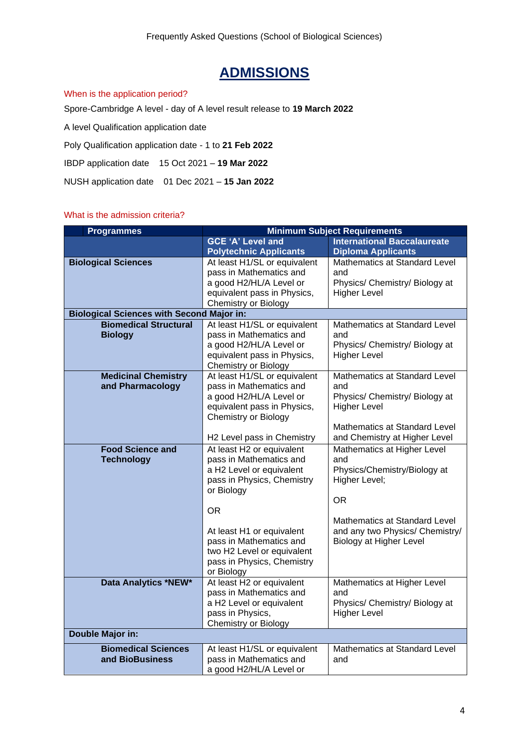# **ADMISSIONS**

#### <span id="page-3-1"></span><span id="page-3-0"></span>When is the application period?

Spore-Cambridge A level - day of A level result release to **19 March 2022**

A level Qualification application date

Poly Qualification application date - 1 to **21 Feb 2022**

IBDP application date 15 Oct 2021 – **19 Mar 2022**

NUSH application date 01 Dec 2021 – **15 Jan 2022**

#### <span id="page-3-2"></span>What is the admission criteria?

| <b>Programmes</b>                                | <b>Minimum Subject Requirements</b>                                                                                                                                                                                                                                   |                                                                                                                                                                                                 |  |
|--------------------------------------------------|-----------------------------------------------------------------------------------------------------------------------------------------------------------------------------------------------------------------------------------------------------------------------|-------------------------------------------------------------------------------------------------------------------------------------------------------------------------------------------------|--|
|                                                  | <b>GCE 'A' Level and</b><br><b>Polytechnic Applicants</b>                                                                                                                                                                                                             | <b>International Baccalaureate</b><br><b>Diploma Applicants</b>                                                                                                                                 |  |
| <b>Biological Sciences</b>                       | At least H1/SL or equivalent<br>pass in Mathematics and<br>a good H2/HL/A Level or<br>equivalent pass in Physics,<br><b>Chemistry or Biology</b>                                                                                                                      | Mathematics at Standard Level<br>and<br>Physics/ Chemistry/ Biology at<br><b>Higher Level</b>                                                                                                   |  |
| <b>Biological Sciences with Second Major in:</b> |                                                                                                                                                                                                                                                                       |                                                                                                                                                                                                 |  |
| <b>Biomedical Structural</b><br><b>Biology</b>   | At least H1/SL or equivalent<br>pass in Mathematics and<br>a good H2/HL/A Level or<br>equivalent pass in Physics,<br><b>Chemistry or Biology</b>                                                                                                                      | Mathematics at Standard Level<br>and<br>Physics/ Chemistry/ Biology at<br><b>Higher Level</b>                                                                                                   |  |
| <b>Medicinal Chemistry</b><br>and Pharmacology   | At least H1/SL or equivalent<br>pass in Mathematics and<br>a good H2/HL/A Level or<br>equivalent pass in Physics,<br><b>Chemistry or Biology</b><br>H2 Level pass in Chemistry                                                                                        | Mathematics at Standard Level<br>and<br>Physics/ Chemistry/ Biology at<br><b>Higher Level</b><br>Mathematics at Standard Level<br>and Chemistry at Higher Level                                 |  |
| <b>Food Science and</b><br><b>Technology</b>     | At least H2 or equivalent<br>pass in Mathematics and<br>a H2 Level or equivalent<br>pass in Physics, Chemistry<br>or Biology<br>OR.<br>At least H1 or equivalent<br>pass in Mathematics and<br>two H2 Level or equivalent<br>pass in Physics, Chemistry<br>or Biology | Mathematics at Higher Level<br>and<br>Physics/Chemistry/Biology at<br>Higher Level;<br><b>OR</b><br>Mathematics at Standard Level<br>and any two Physics/ Chemistry/<br>Biology at Higher Level |  |
| Data Analytics *NEW*                             | At least H2 or equivalent<br>pass in Mathematics and<br>a H2 Level or equivalent<br>pass in Physics,<br>Chemistry or Biology                                                                                                                                          | Mathematics at Higher Level<br>and<br>Physics/ Chemistry/ Biology at<br><b>Higher Level</b>                                                                                                     |  |
| Double Major in:                                 |                                                                                                                                                                                                                                                                       |                                                                                                                                                                                                 |  |
| <b>Biomedical Sciences</b><br>and BioBusiness    | At least H1/SL or equivalent<br>pass in Mathematics and<br>a good H2/HL/A Level or                                                                                                                                                                                    | Mathematics at Standard Level<br>and                                                                                                                                                            |  |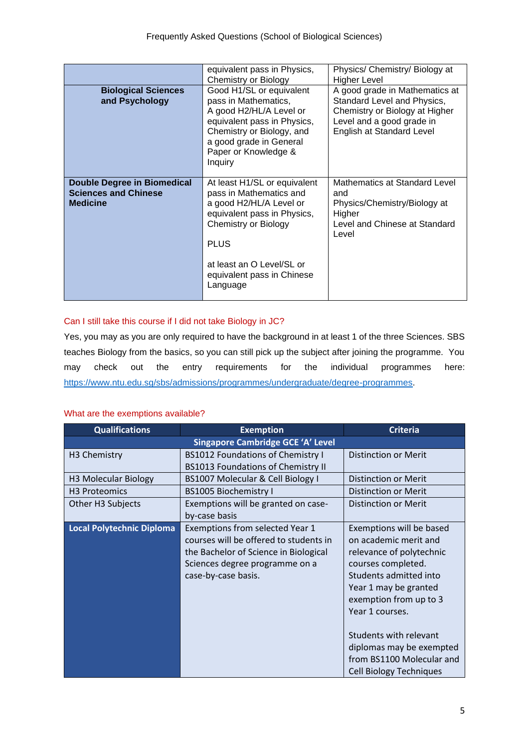|                                                                                      | equivalent pass in Physics,<br><b>Chemistry or Biology</b>                                                                                                                                                                             | Physics/ Chemistry/ Biology at<br>Higher Level                                                                                                            |
|--------------------------------------------------------------------------------------|----------------------------------------------------------------------------------------------------------------------------------------------------------------------------------------------------------------------------------------|-----------------------------------------------------------------------------------------------------------------------------------------------------------|
| <b>Biological Sciences</b><br>and Psychology                                         | Good H1/SL or equivalent<br>pass in Mathematics,<br>A good H2/HL/A Level or<br>equivalent pass in Physics,<br>Chemistry or Biology, and<br>a good grade in General<br>Paper or Knowledge &<br>Inquiry                                  | A good grade in Mathematics at<br>Standard Level and Physics,<br>Chemistry or Biology at Higher<br>Level and a good grade in<br>English at Standard Level |
| <b>Double Degree in Biomedical</b><br><b>Sciences and Chinese</b><br><b>Medicine</b> | At least H1/SL or equivalent<br>pass in Mathematics and<br>a good H2/HL/A Level or<br>equivalent pass in Physics,<br><b>Chemistry or Biology</b><br><b>PLUS</b><br>at least an O Level/SL or<br>equivalent pass in Chinese<br>Language | Mathematics at Standard Level<br>and<br>Physics/Chemistry/Biology at<br>Higher<br>Level and Chinese at Standard<br>Level                                  |

#### <span id="page-4-0"></span>Can I still take this course if I did not take Biology in JC?

Yes, you may as you are only required to have the background in at least 1 of the three Sciences. SBS teaches Biology from the basics, so you can still pick up the subject after joining the programme. You may check out the entry requirements for the individual programmes here: [https://www.ntu.edu.sg/sbs/admissions/programmes/undergraduate/degree-programmes.](https://www.ntu.edu.sg/sbs/admissions/programmes/undergraduate/degree-programmes)

#### <span id="page-4-1"></span>What are the exemptions available?

| <b>Qualifications</b>            | <b>Exemption</b>                          | <b>Criteria</b>                |
|----------------------------------|-------------------------------------------|--------------------------------|
|                                  | <b>Singapore Cambridge GCE 'A' Level</b>  |                                |
| H <sub>3</sub> Chemistry         | <b>BS1012 Foundations of Chemistry I</b>  | <b>Distinction or Merit</b>    |
|                                  | <b>BS1013 Foundations of Chemistry II</b> |                                |
| H3 Molecular Biology             | BS1007 Molecular & Cell Biology I         | Distinction or Merit           |
| H <sub>3</sub> Proteomics        | <b>BS1005 Biochemistry I</b>              | <b>Distinction or Merit</b>    |
| Other H3 Subjects                | Exemptions will be granted on case-       | <b>Distinction or Merit</b>    |
|                                  | by-case basis                             |                                |
| <b>Local Polytechnic Diploma</b> | Exemptions from selected Year 1           | Exemptions will be based       |
|                                  | courses will be offered to students in    | on academic merit and          |
|                                  | the Bachelor of Science in Biological     | relevance of polytechnic       |
|                                  | Sciences degree programme on a            | courses completed.             |
|                                  | case-by-case basis.                       | Students admitted into         |
|                                  |                                           | Year 1 may be granted          |
|                                  |                                           | exemption from up to 3         |
|                                  |                                           | Year 1 courses.                |
|                                  |                                           |                                |
|                                  |                                           | Students with relevant         |
|                                  |                                           | diplomas may be exempted       |
|                                  |                                           | from BS1100 Molecular and      |
|                                  |                                           | <b>Cell Biology Techniques</b> |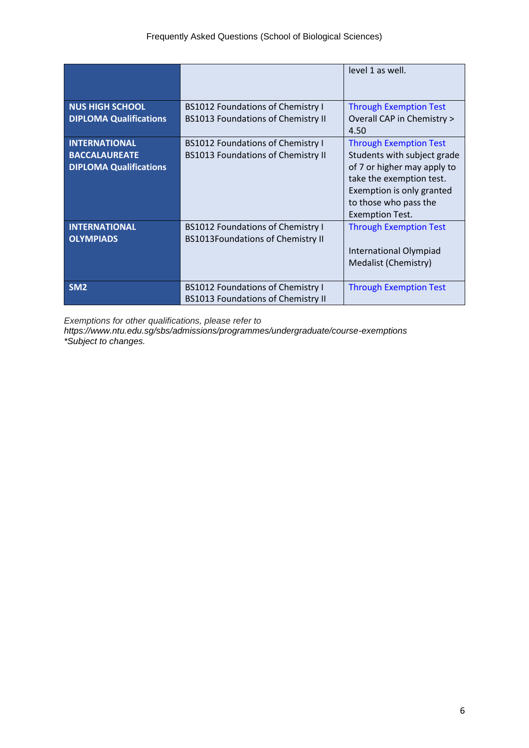|                               |                                           | level 1 as well.                   |
|-------------------------------|-------------------------------------------|------------------------------------|
| <b>NUS HIGH SCHOOL</b>        | <b>BS1012 Foundations of Chemistry I</b>  | <b>Through Exemption Test</b>      |
| <b>DIPLOMA Qualifications</b> | <b>BS1013 Foundations of Chemistry II</b> | Overall CAP in Chemistry ><br>4.50 |
| <b>INTERNATIONAL</b>          | <b>BS1012 Foundations of Chemistry I</b>  | <b>Through Exemption Test</b>      |
| <b>BACCALAUREATE</b>          | <b>BS1013 Foundations of Chemistry II</b> | Students with subject grade        |
| <b>DIPLOMA Qualifications</b> |                                           | of 7 or higher may apply to        |
|                               |                                           | take the exemption test.           |
|                               |                                           | Exemption is only granted          |
|                               |                                           | to those who pass the              |
|                               |                                           | <b>Exemption Test.</b>             |
| <b>INTERNATIONAL</b>          | <b>BS1012 Foundations of Chemistry I</b>  | <b>Through Exemption Test</b>      |
| <b>OLYMPIADS</b>              | <b>BS1013Foundations of Chemistry II</b>  |                                    |
|                               |                                           | International Olympiad             |
|                               |                                           | Medalist (Chemistry)               |
|                               |                                           |                                    |
| SM <sub>2</sub>               | <b>BS1012 Foundations of Chemistry I</b>  | <b>Through Exemption Test</b>      |
|                               | <b>BS1013 Foundations of Chemistry II</b> |                                    |

*Exemptions for other qualifications, please refer to* 

*https://www.ntu.edu.sg/sbs/admissions/programmes/undergraduate/course-exemptions \*Subject to changes.*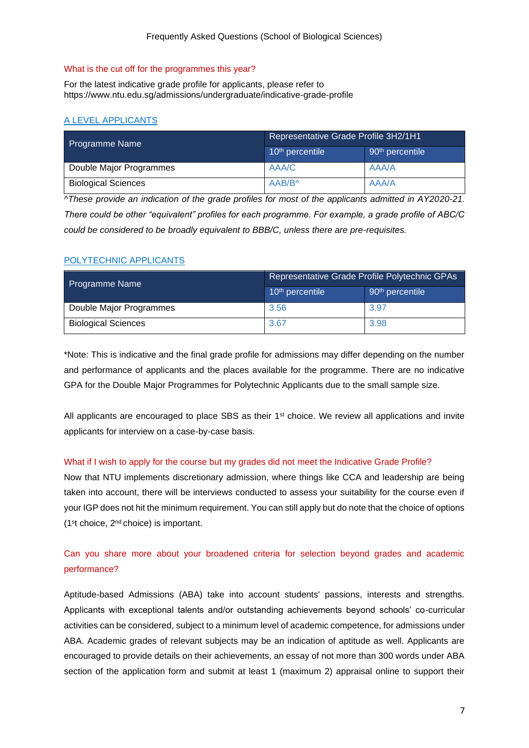#### <span id="page-6-0"></span>What is the cut off for the programmes this year?

For the latest indicative grade profile for applicants, please refer to https://www.ntu.edu.sg/admissions/undergraduate/indicative-grade-profile

## A LEVEL APPLICANTS

| <b>Programme Name</b>      | Representative Grade Profile 3H2/1H1 |                             |  |
|----------------------------|--------------------------------------|-----------------------------|--|
|                            | 10 <sup>th</sup> percentile          | 90 <sup>th</sup> percentile |  |
| Double Major Programmes    | AAA/C                                | AAA/A                       |  |
| <b>Biological Sciences</b> | AAB/B^                               | AAA/A                       |  |

*^These provide an indication of the grade profiles for most of the applicants admitted in AY2020-21. There could be other "equivalent" profiles for each programme. For example, a grade profile of ABC/C could be considered to be broadly equivalent to BBB/C, unless there are pre-requisites.*

#### POLYTECHNIC APPLICANTS

| <b>Programme Name</b>      | Representative Grade Profile Polytechnic GPAs |                                           |  |
|----------------------------|-----------------------------------------------|-------------------------------------------|--|
|                            | 10 <sup>th</sup> percentile                   | $\frac{1}{2}$ 90 <sup>th</sup> percentile |  |
| Double Major Programmes    | 3.56                                          | 3.97                                      |  |
| <b>Biological Sciences</b> | 3.67                                          | 3.98                                      |  |

\*Note: This is indicative and the final grade profile for admissions may differ depending on the number and performance of applicants and the places available for the programme. There are no indicative GPA for the Double Major Programmes for Polytechnic Applicants due to the small sample size.

All applicants are encouraged to place SBS as their  $1<sup>st</sup>$  choice. We review all applications and invite applicants for interview on a case-by-case basis.

#### <span id="page-6-1"></span>What if I wish to apply for the course but my grades did not meet the Indicative Grade Profile?

Now that NTU implements discretionary admission, where things like CCA and leadership are being taken into account, there will be interviews conducted to assess your suitability for the course even if your IGP does not hit the minimum requirement. You can still apply but do note that the choice of options (1<sup>s</sup> t choice, 2nd choice) is important.

## <span id="page-6-2"></span>Can you share more about your broadened criteria for selection beyond grades and academic performance?

Aptitude-based Admissions (ABA) take into account students' passions, interests and strengths. Applicants with exceptional talents and/or outstanding achievements beyond schools' co-curricular activities can be considered, subject to a minimum level of academic competence, for admissions under ABA. Academic grades of relevant subjects may be an indication of aptitude as well. Applicants are encouraged to provide details on their achievements, an essay of not more than 300 words under ABA section of the application form and submit at least 1 (maximum 2) appraisal online to support their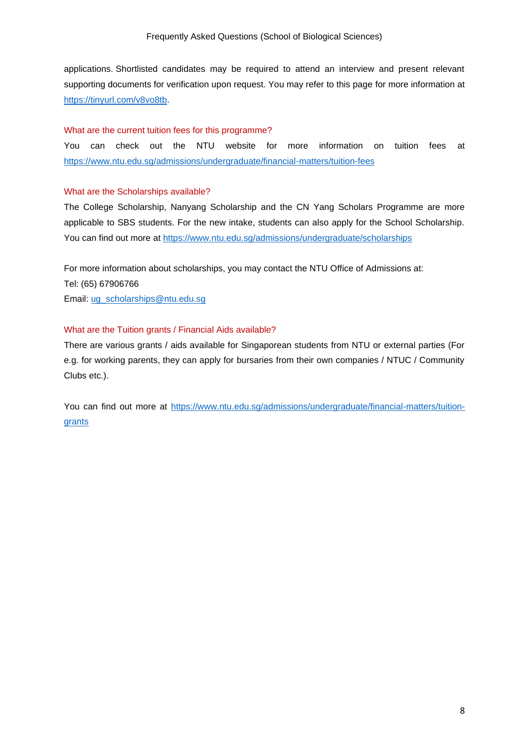applications. Shortlisted candidates may be required to attend an interview and present relevant supporting documents for verification upon request. You may refer to this page for more information at [https://tinyurl.com/v8vo8tb.](https://tinyurl.com/v8vo8tb)

#### <span id="page-7-0"></span>What are the current tuition fees for this programme?

You can check out the NTU website for more information on tuition fees at <https://www.ntu.edu.sg/admissions/undergraduate/financial-matters/tuition-fees>

#### <span id="page-7-1"></span>What are the Scholarships available?

The College Scholarship, Nanyang Scholarship and the CN Yang Scholars Programme are more applicable to SBS students. For the new intake, students can also apply for the School Scholarship. You can find out more at<https://www.ntu.edu.sg/admissions/undergraduate/scholarships>

For more information about scholarships, you may contact the NTU Office of Admissions at: Tel: (65) 67906766 Email: [ug\\_scholarships@ntu.edu.sg](mailto:ug_scholarships@ntu.edu.sg)

#### <span id="page-7-2"></span>What are the Tuition grants / Financial Aids available?

There are various grants / aids available for Singaporean students from NTU or external parties (For e.g. for working parents, they can apply for bursaries from their own companies / NTUC / Community Clubs etc.).

You can find out more at [https://www.ntu.edu.sg/admissions/undergraduate/financial-matters/tuition](https://www.ntu.edu.sg/admissions/undergraduate/financial-matters/tuition-grants)[grants](https://www.ntu.edu.sg/admissions/undergraduate/financial-matters/tuition-grants)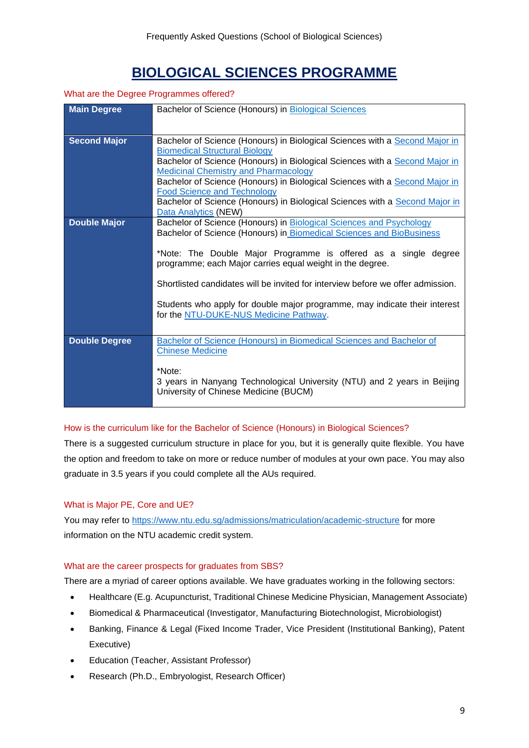# **BIOLOGICAL SCIENCES PROGRAMME**

#### <span id="page-8-1"></span><span id="page-8-0"></span>What are the Degree Programmes offered?

| <b>Main Degree</b>   | Bachelor of Science (Honours) in Biological Sciences                                                                         |
|----------------------|------------------------------------------------------------------------------------------------------------------------------|
|                      |                                                                                                                              |
| <b>Second Major</b>  | Bachelor of Science (Honours) in Biological Sciences with a Second Major in                                                  |
|                      | <b>Biomedical Structural Biology</b>                                                                                         |
|                      | Bachelor of Science (Honours) in Biological Sciences with a Second Major in<br><b>Medicinal Chemistry and Pharmacology</b>   |
|                      | Bachelor of Science (Honours) in Biological Sciences with a Second Major in                                                  |
|                      | <b>Food Science and Technology</b>                                                                                           |
|                      | Bachelor of Science (Honours) in Biological Sciences with a Second Major in<br>Data Analytics (NEW)                          |
| <b>Double Major</b>  | Bachelor of Science (Honours) in Biological Sciences and Psychology                                                          |
|                      | Bachelor of Science (Honours) in Biomedical Sciences and BioBusiness                                                         |
|                      |                                                                                                                              |
|                      | *Note: The Double Major Programme is offered as a single degree<br>programme; each Major carries equal weight in the degree. |
|                      |                                                                                                                              |
|                      | Shortlisted candidates will be invited for interview before we offer admission.                                              |
|                      | Students who apply for double major programme, may indicate their interest                                                   |
|                      | for the NTU-DUKE-NUS Medicine Pathway.                                                                                       |
|                      |                                                                                                                              |
| <b>Double Degree</b> | Bachelor of Science (Honours) in Biomedical Sciences and Bachelor of                                                         |
|                      | <b>Chinese Medicine</b>                                                                                                      |
|                      |                                                                                                                              |
|                      | *Note:                                                                                                                       |
|                      | 3 years in Nanyang Technological University (NTU) and 2 years in Beijing<br>University of Chinese Medicine (BUCM)            |
|                      |                                                                                                                              |

#### <span id="page-8-2"></span>How is the curriculum like for the Bachelor of Science (Honours) in Biological Sciences?

There is a suggested curriculum structure in place for you, but it is generally quite flexible. You have the option and freedom to take on more or reduce number of modules at your own pace. You may also graduate in 3.5 years if you could complete all the AUs required.

#### <span id="page-8-3"></span>What is Major PE, Core and UE?

You may refer to<https://www.ntu.edu.sg/admissions/matriculation/academic-structure> for more information on the NTU academic credit system.

#### <span id="page-8-4"></span>What are the career prospects for graduates from SBS?

There are a myriad of career options available. We have graduates working in the following sectors:

- Healthcare (E.g. Acupuncturist, Traditional Chinese Medicine Physician, Management Associate)
- Biomedical & Pharmaceutical (Investigator, Manufacturing Biotechnologist, Microbiologist)
- Banking, Finance & Legal (Fixed Income Trader, Vice President (Institutional Banking), Patent Executive)
- Education (Teacher, Assistant Professor)
- Research (Ph.D., Embryologist, Research Officer)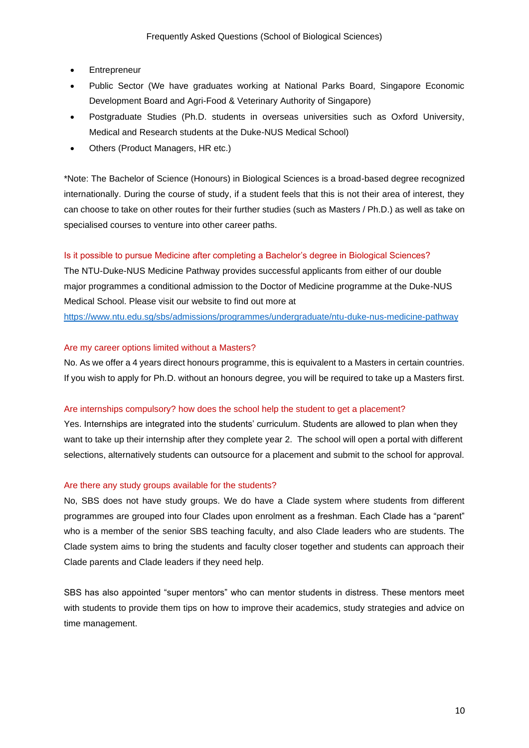- **Entrepreneur**
- Public Sector (We have graduates working at National Parks Board, Singapore Economic Development Board and Agri-Food & Veterinary Authority of Singapore)
- Postgraduate Studies (Ph.D. students in overseas universities such as Oxford University, Medical and Research students at the Duke-NUS Medical School)
- Others (Product Managers, HR etc.)

\*Note: The Bachelor of Science (Honours) in Biological Sciences is a broad-based degree recognized internationally. During the course of study, if a student feels that this is not their area of interest, they can choose to take on other routes for their further studies (such as Masters / Ph.D.) as well as take on specialised courses to venture into other career paths.

#### <span id="page-9-0"></span>Is it possible to pursue Medicine after completing a Bachelor's degree in Biological Sciences?

The NTU-Duke-NUS Medicine Pathway provides successful applicants from either of our double major programmes a conditional admission to the Doctor of Medicine programme at the Duke-NUS Medical School. Please visit our website to find out more at

<https://www.ntu.edu.sg/sbs/admissions/programmes/undergraduate/ntu-duke-nus-medicine-pathway>

#### <span id="page-9-1"></span>Are my career options limited without a Masters?

No. As we offer a 4 years direct honours programme, this is equivalent to a Masters in certain countries. If you wish to apply for Ph.D. without an honours degree, you will be required to take up a Masters first.

#### <span id="page-9-2"></span>Are internships compulsory? how does the school help the student to get a placement?

Yes. Internships are integrated into the students' curriculum. Students are allowed to plan when they want to take up their internship after they complete year 2. The school will open a portal with different selections, alternatively students can outsource for a placement and submit to the school for approval.

#### <span id="page-9-3"></span>Are there any study groups available for the students?

No, SBS does not have study groups. We do have a Clade system where students from different programmes are grouped into four Clades upon enrolment as a freshman. Each Clade has a "parent" who is a member of the senior SBS teaching faculty, and also Clade leaders who are students. The Clade system aims to bring the students and faculty closer together and students can approach their Clade parents and Clade leaders if they need help.

SBS has also appointed "super mentors" who can mentor students in distress. These mentors meet with students to provide them tips on how to improve their academics, study strategies and advice on time management.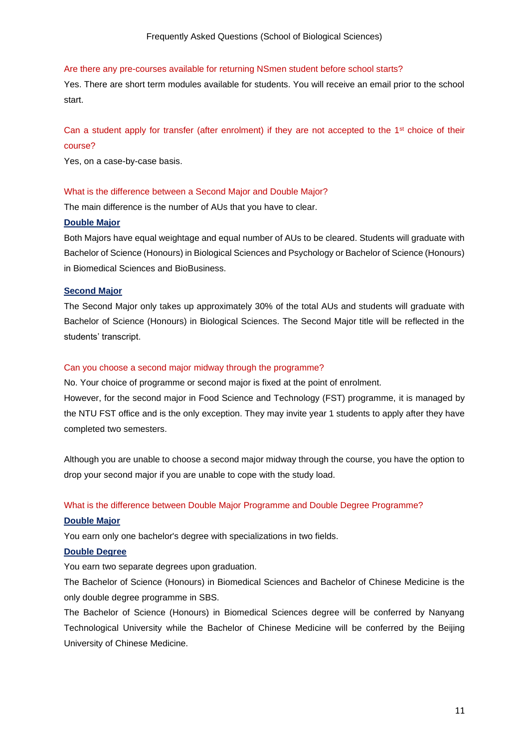#### <span id="page-10-0"></span>Are there any pre-courses available for returning NSmen student before school starts?

Yes. There are short term modules available for students. You will receive an email prior to the school start.

## <span id="page-10-1"></span>Can a student apply for transfer (after enrolment) if they are not accepted to the 1<sup>st</sup> choice of their course?

Yes, on a case-by-case basis.

#### <span id="page-10-2"></span>What is the difference between a Second Major and Double Major?

The main difference is the number of AUs that you have to clear.

#### **Double Major**

Both Majors have equal weightage and equal number of AUs to be cleared. Students will graduate with Bachelor of Science (Honours) in Biological Sciences and Psychology or Bachelor of Science (Honours) in Biomedical Sciences and BioBusiness.

#### **Second Major**

The Second Major only takes up approximately 30% of the total AUs and students will graduate with Bachelor of Science (Honours) in Biological Sciences. The Second Major title will be reflected in the students' transcript.

#### <span id="page-10-3"></span>Can you choose a second major midway through the programme?

No. Your choice of programme or second major is fixed at the point of enrolment.

However, for the second major in Food Science and Technology (FST) programme, it is managed by the NTU FST office and is the only exception. They may invite year 1 students to apply after they have completed two semesters.

Although you are unable to choose a second major midway through the course, you have the option to drop your second major if you are unable to cope with the study load.

#### <span id="page-10-4"></span>What is the difference between Double Major Programme and Double Degree Programme?

#### **Double Major**

You earn only one bachelor's degree with specializations in two fields.

#### **Double Degree**

You earn two separate degrees upon graduation.

The Bachelor of Science (Honours) in Biomedical Sciences and Bachelor of Chinese Medicine is the only double degree programme in SBS.

The Bachelor of Science (Honours) in Biomedical Sciences degree will be conferred by Nanyang Technological University while the Bachelor of Chinese Medicine will be conferred by the Beijing University of Chinese Medicine.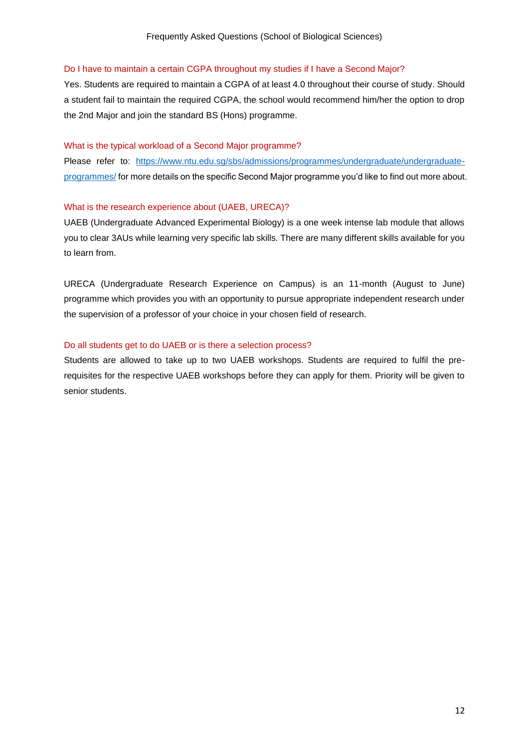#### <span id="page-11-0"></span>Do I have to maintain a certain CGPA throughout my studies if I have a Second Major?

Yes. Students are required to maintain a CGPA of at least 4.0 throughout their course of study. Should a student fail to maintain the required CGPA, the school would recommend him/her the option to drop the 2nd Major and join the standard BS (Hons) programme.

#### <span id="page-11-1"></span>What is the typical workload of a Second Major programme?

Please refer to: [https://www.ntu.edu.sg/sbs/admissions/programmes/undergraduate/undergraduate](https://www.ntu.edu.sg/sbs/admissions/programmes/undergraduate/undergraduate-programmes/)[programmes/](https://www.ntu.edu.sg/sbs/admissions/programmes/undergraduate/undergraduate-programmes/) for more details on the specific Second Major programme you'd like to find out more about.

#### <span id="page-11-2"></span>What is the research experience about (UAEB, URECA)?

UAEB (Undergraduate Advanced Experimental Biology) is a one week intense lab module that allows you to clear 3AUs while learning very specific lab skills. There are many different skills available for you to learn from.

URECA (Undergraduate Research Experience on Campus) is an 11-month (August to June) programme which provides you with an opportunity to pursue appropriate independent research under the supervision of a professor of your choice in your chosen field of research.

#### <span id="page-11-3"></span>Do all students get to do UAEB or is there a selection process?

Students are allowed to take up to two UAEB workshops. Students are required to fulfil the prerequisites for the respective UAEB workshops before they can apply for them. Priority will be given to senior students.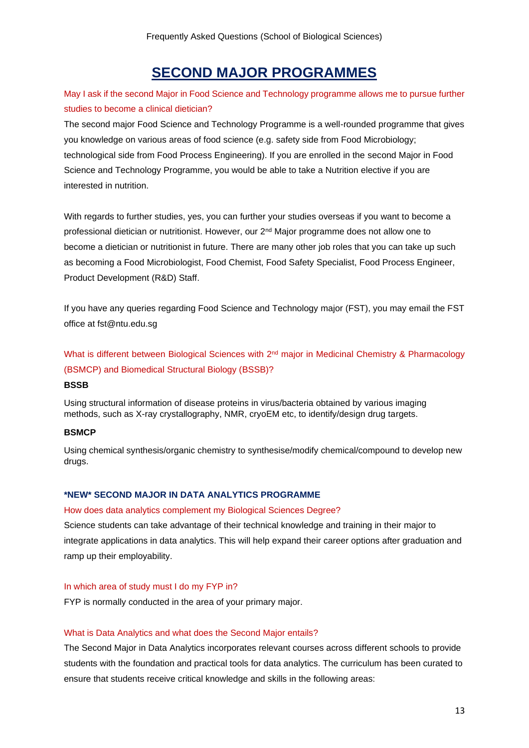## **SECOND MAJOR PROGRAMMES**

<span id="page-12-1"></span><span id="page-12-0"></span>May I ask if the second Major in Food Science and Technology programme allows me to pursue further studies to become a clinical dietician?

The second major Food Science and Technology Programme is a well-rounded programme that gives you knowledge on various areas of food science (e.g. safety side from Food Microbiology; technological side from Food Process Engineering). If you are enrolled in the second Major in Food Science and Technology Programme, you would be able to take a Nutrition elective if you are interested in nutrition.

With regards to further studies, yes, you can further your studies overseas if you want to become a professional dietician or nutritionist. However, our 2nd Major programme does not allow one to become a dietician or nutritionist in future. There are many other job roles that you can take up such as becoming a Food Microbiologist, Food Chemist, Food Safety Specialist, Food Process Engineer, Product Development (R&D) Staff.

If you have any queries regarding Food Science and Technology major (FST), you may email the FST office at fst@ntu.edu.sg

<span id="page-12-2"></span>What is different between Biological Sciences with 2<sup>nd</sup> major in Medicinal Chemistry & Pharmacology (BSMCP) and Biomedical Structural Biology (BSSB)?

#### **BSSB**

Using structural information of disease proteins in virus/bacteria obtained by various imaging methods, such as X-ray crystallography, NMR, cryoEM etc, to identify/design drug targets.

#### **BSMCP**

Using chemical synthesis/organic chemistry to synthesise/modify chemical/compound to develop new drugs.

#### <span id="page-12-3"></span>**\*NEW\* SECOND MAJOR IN DATA ANALYTICS PROGRAMME**

#### <span id="page-12-4"></span>How does data analytics complement my Biological Sciences Degree?

Science students can take advantage of their technical knowledge and training in their major to integrate applications in data analytics. This will help expand their career options after graduation and ramp up their employability.

#### <span id="page-12-5"></span>In which area of study must I do my FYP in?

FYP is normally conducted in the area of your primary major.

#### <span id="page-12-6"></span>What is Data Analytics and what does the Second Major entails?

The Second Major in Data Analytics incorporates relevant courses across different schools to provide students with the foundation and practical tools for data analytics. The curriculum has been curated to ensure that students receive critical knowledge and skills in the following areas: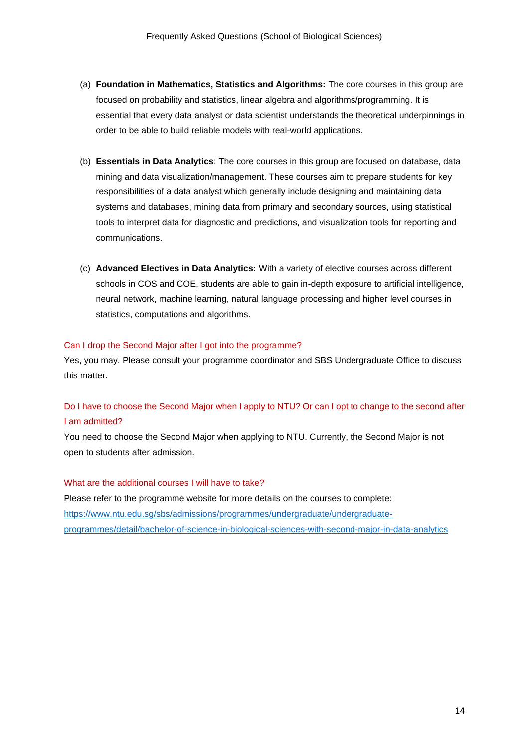- (a) **Foundation in Mathematics, Statistics and Algorithms:** The core courses in this group are focused on probability and statistics, linear algebra and algorithms/programming. It is essential that every data analyst or data scientist understands the theoretical underpinnings in order to be able to build reliable models with real-world applications.
- (b) **Essentials in Data Analytics**: The core courses in this group are focused on database, data mining and data visualization/management. These courses aim to prepare students for key responsibilities of a data analyst which generally include designing and maintaining data systems and databases, mining data from primary and secondary sources, using statistical tools to interpret data for diagnostic and predictions, and visualization tools for reporting and communications.
- (c) **Advanced Electives in Data Analytics:** With a variety of elective courses across different schools in COS and COE, students are able to gain in-depth exposure to artificial intelligence, neural network, machine learning, natural language processing and higher level courses in statistics, computations and algorithms.

#### <span id="page-13-0"></span>Can I drop the Second Major after I got into the programme?

Yes, you may. Please consult your programme coordinator and SBS Undergraduate Office to discuss this matter.

## <span id="page-13-1"></span>Do I have to choose the Second Major when I apply to NTU? Or can I opt to change to the second after I am admitted?

You need to choose the Second Major when applying to NTU. Currently, the Second Major is not open to students after admission.

#### <span id="page-13-2"></span>What are the additional courses I will have to take?

Please refer to the programme website for more details on the courses to complete: [https://www.ntu.edu.sg/sbs/admissions/programmes/undergraduate/undergraduate](https://www.ntu.edu.sg/sbs/admissions/programmes/undergraduate/undergraduate-programmes/detail/bachelor-of-science-in-biological-sciences-with-second-major-in-data-analytics)[programmes/detail/bachelor-of-science-in-biological-sciences-with-second-major-in-data-analytics](https://www.ntu.edu.sg/sbs/admissions/programmes/undergraduate/undergraduate-programmes/detail/bachelor-of-science-in-biological-sciences-with-second-major-in-data-analytics)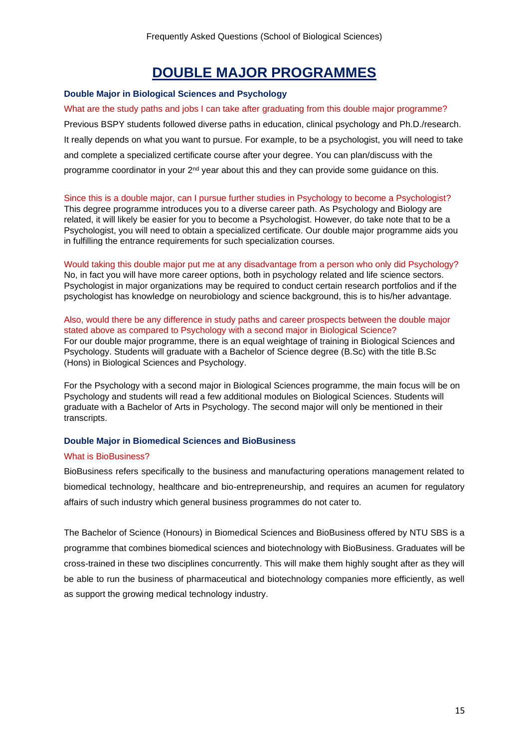## **DOUBLE MAJOR PROGRAMMES**

#### <span id="page-14-1"></span><span id="page-14-0"></span>**Double Major in Biological Sciences and Psychology**

<span id="page-14-2"></span>What are the study paths and jobs I can take after graduating from this double major programme? Previous BSPY students followed diverse paths in education, clinical psychology and Ph.D./research. It really depends on what you want to pursue. For example, to be a psychologist, you will need to take and complete a specialized certificate course after your degree. You can plan/discuss with the programme coordinator in your 2<sup>nd</sup> year about this and they can provide some guidance on this.

#### <span id="page-14-3"></span>Since this is a double major, can I pursue further studies in Psychology to become a Psychologist?

This degree programme introduces you to a diverse career path. As Psychology and Biology are related, it will likely be easier for you to become a Psychologist. However, do take note that to be a Psychologist, you will need to obtain a specialized certificate. Our double major programme aids you in fulfilling the entrance requirements for such specialization courses.

#### <span id="page-14-4"></span>Would taking this double major put me at any disadvantage from a person who only did Psychology? No, in fact you will have more career options, both in psychology related and life science sectors. Psychologist in major organizations may be required to conduct certain research portfolios and if the psychologist has knowledge on neurobiology and science background, this is to his/her advantage.

#### <span id="page-14-5"></span>Also, would there be any difference in study paths and career prospects between the double major stated above as compared to Psychology with a second major in Biological Science? For our double major programme, there is an equal weightage of training in Biological Sciences and Psychology. Students will graduate with a Bachelor of Science degree (B.Sc) with the title B.Sc (Hons) in Biological Sciences and Psychology.

For the Psychology with a second major in Biological Sciences programme, the main focus will be on Psychology and students will read a few additional modules on Biological Sciences. Students will graduate with a Bachelor of Arts in Psychology. The second major will only be mentioned in their transcripts.

#### <span id="page-14-6"></span>**Double Major in Biomedical Sciences and BioBusiness**

#### <span id="page-14-7"></span>What is BioBusiness?

BioBusiness refers specifically to the business and manufacturing operations management related to biomedical technology, healthcare and bio-entrepreneurship, and requires an acumen for regulatory affairs of such industry which general business programmes do not cater to.

The Bachelor of Science (Honours) in Biomedical Sciences and BioBusiness offered by NTU SBS is a programme that combines biomedical sciences and biotechnology with BioBusiness. Graduates will be cross-trained in these two disciplines concurrently. This will make them highly sought after as they will be able to run the business of pharmaceutical and biotechnology companies more efficiently, as well as support the growing medical technology industry.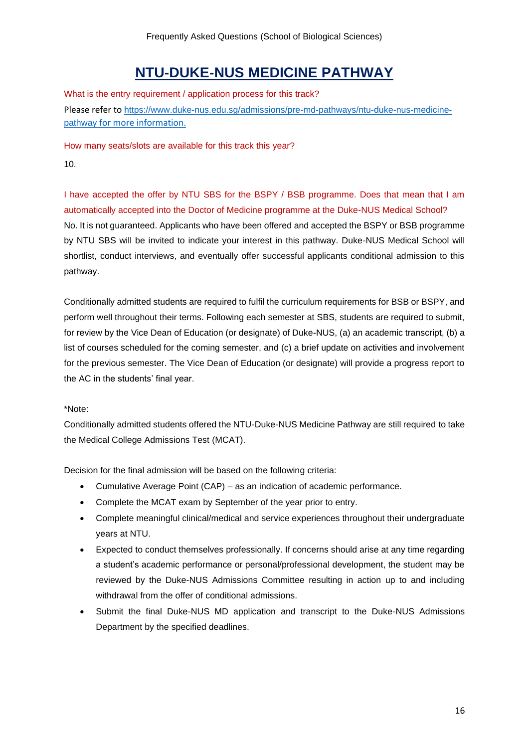# **NTU-DUKE-NUS MEDICINE PATHWAY**

<span id="page-15-1"></span><span id="page-15-0"></span>What is the entry requirement / application process for this track? Please refer to [https://www.duke-nus.edu.sg/admissions/pre-md-pathways/ntu-duke-nus-medicine](https://www.duke-nus.edu.sg/admissions/pre-md-pathways/ntu-duke-nus-medicine-pathway%20for%20more%20information.)[pathway](https://www.duke-nus.edu.sg/admissions/pre-md-pathways/ntu-duke-nus-medicine-pathway%20for%20more%20information.) [for more information.](https://www.duke-nus.edu.sg/admissions/pre-md-pathways/ntu-duke-nus-medicine-pathway%20for%20more%20information.)

How many seats/slots are available for this track this year?

10.

I have accepted the offer by NTU SBS for the BSPY / BSB programme. Does that mean that I am automatically accepted into the Doctor of Medicine programme at the Duke-NUS Medical School? No. It is not guaranteed. Applicants who have been offered and accepted the BSPY or BSB programme by NTU SBS will be invited to indicate your interest in this pathway. Duke-NUS Medical School will shortlist, conduct interviews, and eventually offer successful applicants conditional admission to this pathway.

Conditionally admitted students are required to fulfil the curriculum requirements for BSB or BSPY, and perform well throughout their terms. Following each semester at SBS, students are required to submit, for review by the Vice Dean of Education (or designate) of Duke-NUS, (a) an academic transcript, (b) a list of courses scheduled for the coming semester, and (c) a brief update on activities and involvement for the previous semester. The Vice Dean of Education (or designate) will provide a progress report to the AC in the students' final year.

#### \*Note:

Conditionally admitted students offered the NTU-Duke-NUS Medicine Pathway are still required to take the Medical College Admissions Test (MCAT).

Decision for the final admission will be based on the following criteria:

- Cumulative Average Point (CAP) as an indication of academic performance.
- Complete the MCAT exam by September of the year prior to entry.
- Complete meaningful clinical/medical and service experiences throughout their undergraduate years at NTU.
- Expected to conduct themselves professionally. If concerns should arise at any time regarding a student's academic performance or personal/professional development, the student may be reviewed by the Duke-NUS Admissions Committee resulting in action up to and including withdrawal from the offer of conditional admissions.
- Submit the final Duke-NUS MD application and transcript to the Duke-NUS Admissions Department by the specified deadlines.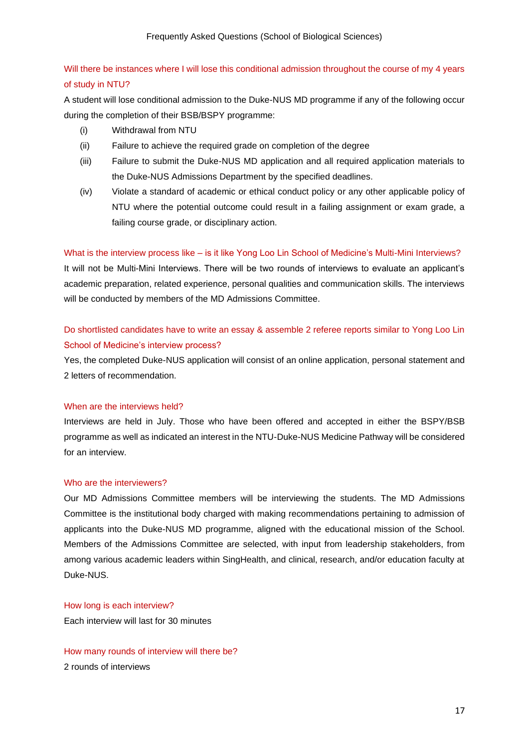## <span id="page-16-0"></span>Will there be instances where I will lose this conditional admission throughout the course of my 4 years of study in NTU?

A student will lose conditional admission to the Duke-NUS MD programme if any of the following occur during the completion of their BSB/BSPY programme:

- (i) Withdrawal from NTU
- (ii) Failure to achieve the required grade on completion of the degree
- (iii) Failure to submit the Duke-NUS MD application and all required application materials to the Duke-NUS Admissions Department by the specified deadlines.
- (iv) Violate a standard of academic or ethical conduct policy or any other applicable policy of NTU where the potential outcome could result in a failing assignment or exam grade, a failing course grade, or disciplinary action.

#### <span id="page-16-1"></span>What is the interview process like – is it like Yong Loo Lin School of Medicine's Multi-Mini Interviews?

It will not be Multi-Mini Interviews. There will be two rounds of interviews to evaluate an applicant's academic preparation, related experience, personal qualities and communication skills. The interviews will be conducted by members of the MD Admissions Committee.

## <span id="page-16-2"></span>Do shortlisted candidates have to write an essay & assemble 2 referee reports similar to Yong Loo Lin School of Medicine's interview process?

Yes, the completed Duke-NUS application will consist of an online application, personal statement and 2 letters of recommendation.

#### <span id="page-16-3"></span>When are the interviews held?

Interviews are held in July. Those who have been offered and accepted in either the BSPY/BSB programme as well as indicated an interest in the NTU-Duke-NUS Medicine Pathway will be considered for an interview.

#### <span id="page-16-4"></span>Who are the interviewers?

Our MD Admissions Committee members will be interviewing the students. The MD Admissions Committee is the institutional body charged with making recommendations pertaining to admission of applicants into the Duke-NUS MD programme, aligned with the educational mission of the School. Members of the Admissions Committee are selected, with input from leadership stakeholders, from among various academic leaders within SingHealth, and clinical, research, and/or education faculty at Duke-NUS.

#### <span id="page-16-5"></span>How long is each interview?

Each interview will last for 30 minutes

<span id="page-16-6"></span>How many rounds of interview will there be? 2 rounds of interviews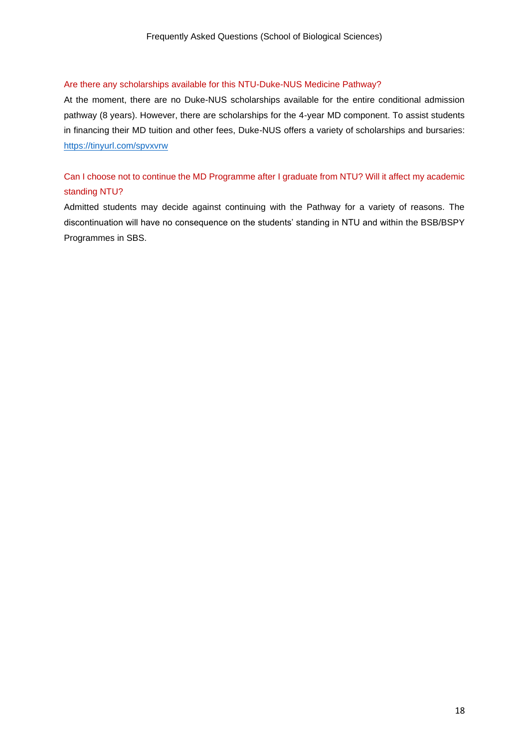#### <span id="page-17-0"></span>Are there any scholarships available for this NTU-Duke-NUS Medicine Pathway?

At the moment, there are no Duke-NUS scholarships available for the entire conditional admission pathway (8 years). However, there are scholarships for the 4-year MD component. To assist students in financing their MD tuition and other fees, Duke-NUS offers a variety of scholarships and bursaries: <https://tinyurl.com/spvxvrw>

## <span id="page-17-1"></span>Can I choose not to continue the MD Programme after I graduate from NTU? Will it affect my academic standing NTU?

Admitted students may decide against continuing with the Pathway for a variety of reasons. The discontinuation will have no consequence on the students' standing in NTU and within the BSB/BSPY Programmes in SBS.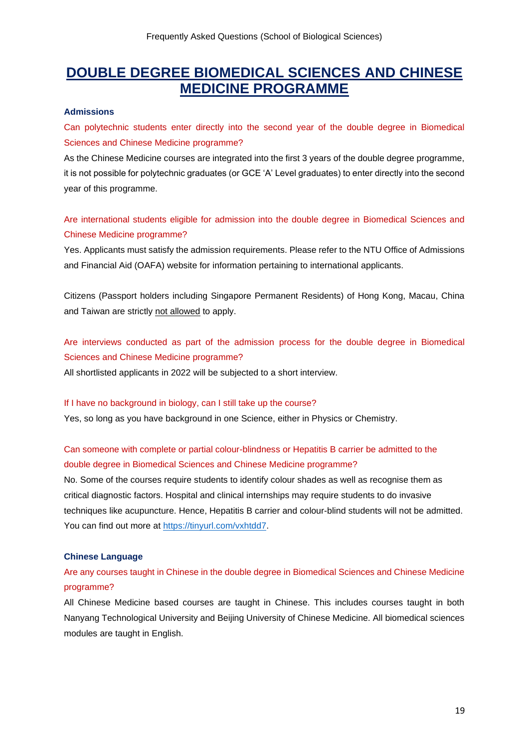## <span id="page-18-0"></span>**DOUBLE DEGREE BIOMEDICAL SCIENCES AND CHINESE MEDICINE PROGRAMME**

#### <span id="page-18-1"></span>**Admissions**

<span id="page-18-2"></span>Can polytechnic students enter directly into the second year of the double degree in Biomedical Sciences and Chinese Medicine programme?

As the Chinese Medicine courses are integrated into the first 3 years of the double degree programme, it is not possible for polytechnic graduates (or GCE 'A' Level graduates) to enter directly into the second year of this programme.

Are international students eligible for admission into the double degree in Biomedical Sciences and Chinese Medicine programme?

Yes. Applicants must satisfy the admission requirements. Please refer to the NTU Office of Admissions and Financial Aid (OAFA) website for information pertaining to international applicants.

Citizens (Passport holders including Singapore Permanent Residents) of Hong Kong, Macau, China and Taiwan are strictly not allowed to apply.

<span id="page-18-3"></span>Are interviews conducted as part of the admission process for the double degree in Biomedical Sciences and Chinese Medicine programme?

All shortlisted applicants in 2022 will be subjected to a short interview.

#### <span id="page-18-4"></span>If I have no background in biology, can I still take up the course?

Yes, so long as you have background in one Science, either in Physics or Chemistry.

## <span id="page-18-5"></span>Can someone with complete or partial colour-blindness or Hepatitis B carrier be admitted to the double degree in Biomedical Sciences and Chinese Medicine programme?

No. Some of the courses require students to identify colour shades as well as recognise them as critical diagnostic factors. Hospital and clinical internships may require students to do invasive techniques like acupuncture. Hence, Hepatitis B carrier and colour-blind students will not be admitted. You can find out more at [https://tinyurl.com/vxhtdd7.](https://tinyurl.com/vxhtdd7)

#### <span id="page-18-6"></span>**Chinese Language**

## <span id="page-18-7"></span>Are any courses taught in Chinese in the double degree in Biomedical Sciences and Chinese Medicine programme?

All Chinese Medicine based courses are taught in Chinese. This includes courses taught in both Nanyang Technological University and Beijing University of Chinese Medicine. All biomedical sciences modules are taught in English.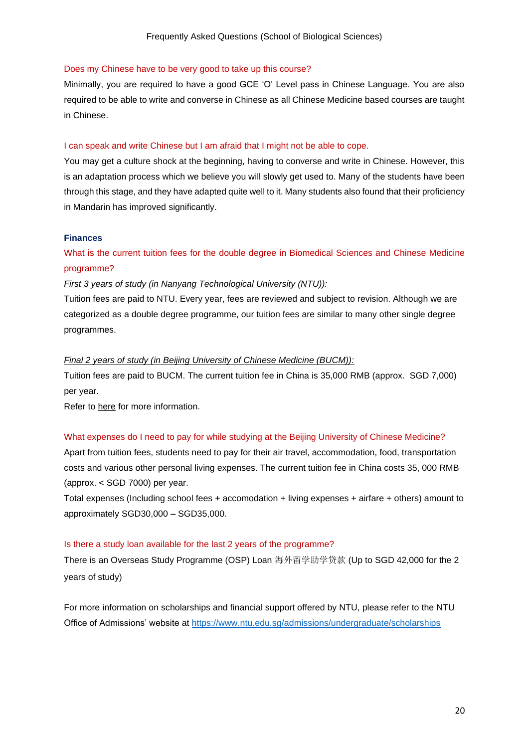#### <span id="page-19-0"></span>Does my Chinese have to be very good to take up this course?

Minimally, you are required to have a good GCE 'O' Level pass in Chinese Language. You are also required to be able to write and converse in Chinese as all Chinese Medicine based courses are taught in Chinese.

#### <span id="page-19-1"></span>I can speak and write Chinese but I am afraid that I might not be able to cope.

You may get a culture shock at the beginning, having to converse and write in Chinese. However, this is an adaptation process which we believe you will slowly get used to. Many of the students have been through this stage, and they have adapted quite well to it. Many students also found that their proficiency in Mandarin has improved significantly.

#### <span id="page-19-2"></span>**Finances**

## <span id="page-19-3"></span>What is the current tuition fees for the double degree in Biomedical Sciences and Chinese Medicine programme?

#### *First 3 years of study (in Nanyang Technological University (NTU)):*

Tuition fees are paid to NTU. Every year, fees are reviewed and subject to revision. Although we are categorized as a double degree programme, our tuition fees are similar to many other single degree programmes.

#### *Final 2 years of study (in Beijing University of Chinese Medicine (BUCM)):*

Tuition fees are paid to BUCM. The current tuition fee in China is 35,000 RMB (approx. SGD 7,000) per year.

Refer to [here](https://www.ntu.edu.sg/NSS/NSSFinance/FeesTuitionGrant/Pages/tf_19.aspx) for more information.

#### <span id="page-19-4"></span>What expenses do I need to pay for while studying at the Beijing University of Chinese Medicine?

Apart from tuition fees, students need to pay for their air travel, accommodation, food, transportation costs and various other personal living expenses. The current tuition fee in China costs 35, 000 RMB (approx. < SGD 7000) per year.

Total expenses (Including school fees + accomodation + living expenses + airfare + others) amount to approximately SGD30,000 – SGD35,000.

#### <span id="page-19-5"></span>Is there a study loan available for the last 2 years of the programme?

There is an Overseas Study Programme (OSP) Loan 海外留学助学贷款 (Up to SGD 42,000 for the 2 years of study)

For more information on scholarships and financial support offered by NTU, please refer to the NTU Office of Admissions' website at<https://www.ntu.edu.sg/admissions/undergraduate/scholarships>